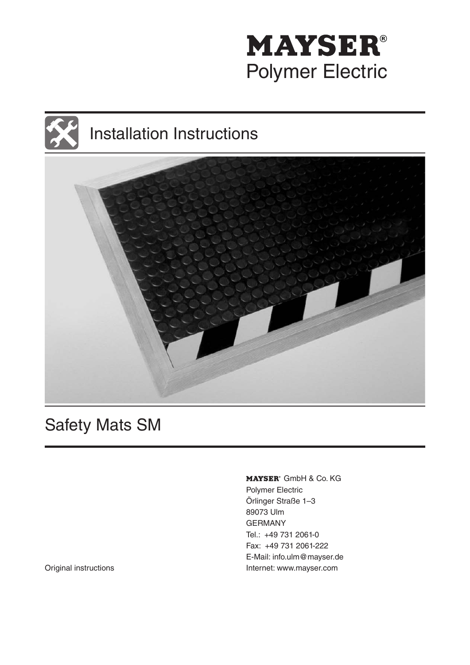





# Safety Mats SM

MAYSER<sup>®</sup> GmbH & Co. KG Polymer Electric Örlinger Straße 1–3 89073 Ulm GERMANY Tel.: +49 731 2061-0 Fax: +49 731 2061-222 E-Mail: info.ulm@mayser.de Original instructions **Internet: www.mayser.com**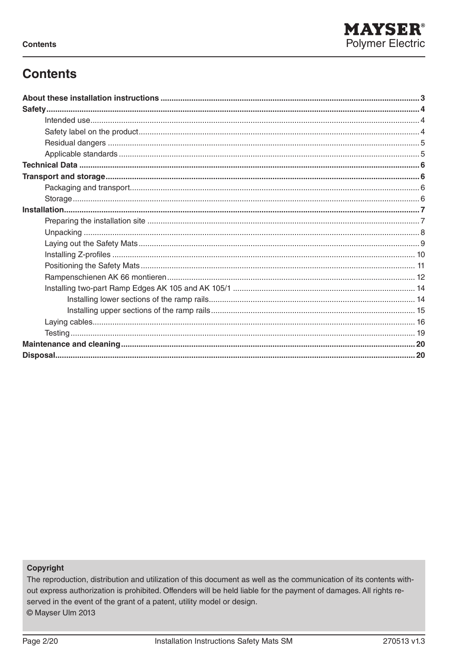

# **Contents**

#### Copyright

The reproduction, distribution and utilization of this document as well as the communication of its contents without express authorization is prohibited. Offenders will be held liable for the payment of damages. All rights reserved in the event of the grant of a patent, utility model or design. © Mayser Ulm 2013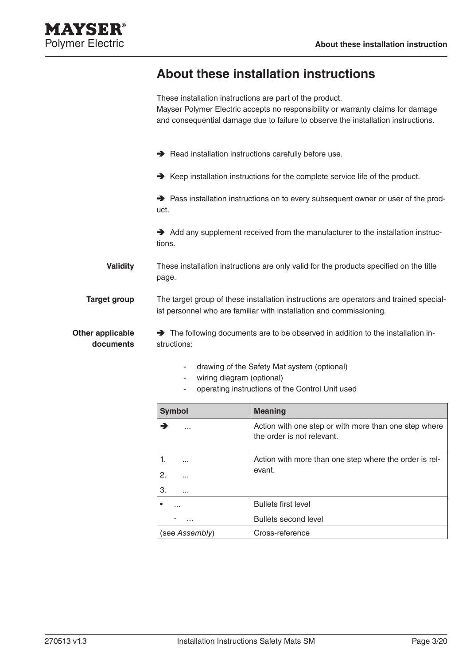# **About these installation instructions**

|                                      | These installation instructions are part of the product.<br>Mayser Polymer Electric accepts no responsibility or warranty claims for damage<br>and consequential damage due to failure to observe the installation instructions. |
|--------------------------------------|----------------------------------------------------------------------------------------------------------------------------------------------------------------------------------------------------------------------------------|
|                                      | Read installation instructions carefully before use.                                                                                                                                                                             |
|                                      | $\rightarrow$ Keep installation instructions for the complete service life of the product.                                                                                                                                       |
|                                      | → Pass installation instructions on to every subsequent owner or user of the prod-<br>uct.                                                                                                                                       |
|                                      | Add any supplement received from the manufacturer to the installation instruc-<br>tions.                                                                                                                                         |
| <b>Validity</b>                      | These installation instructions are only valid for the products specified on the title<br>page.                                                                                                                                  |
| <b>Target group</b>                  | The target group of these installation instructions are operators and trained special-<br>ist personnel who are familiar with installation and commissioning.                                                                    |
| <b>Other applicable</b><br>documents | The following documents are to be observed in addition to the installation in-<br>structions:                                                                                                                                    |
|                                      | drawing of the Safety Mat system (optional)<br>wiring diagram (optional)                                                                                                                                                         |

- operating instructions of the Control Unit used

| <b>Symbol</b>  | <b>Meaning</b>                                                                      |
|----------------|-------------------------------------------------------------------------------------|
| .              | Action with one step or with more than one step where<br>the order is not relevant. |
| .              | Action with more than one step where the order is rel-                              |
| 2.<br>.        | evant.                                                                              |
| З.<br>.        |                                                                                     |
| .              | <b>Bullets first level</b>                                                          |
|                | Bullets second level                                                                |
| (see Assembly) | Cross-reference                                                                     |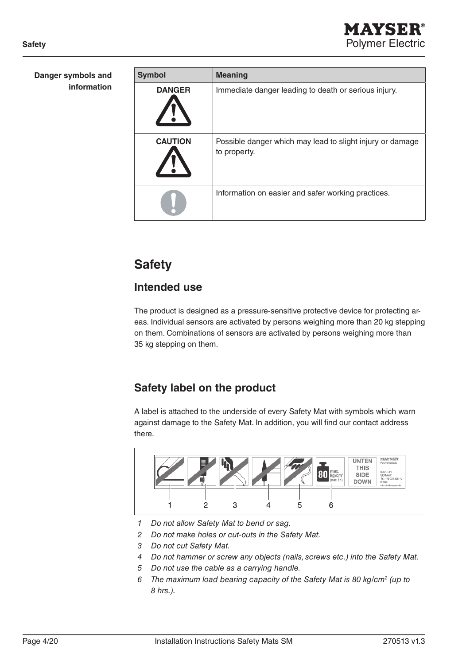| Danger symbols and<br>information | <b>Symbol</b>  | <b>Meaning</b>                                                            |
|-----------------------------------|----------------|---------------------------------------------------------------------------|
|                                   | <b>DANGER</b>  | Immediate danger leading to death or serious injury.                      |
|                                   | <b>CAUTION</b> | Possible danger which may lead to slight injury or damage<br>to property. |
|                                   |                | Information on easier and safer working practices.                        |

# **Safety**

# **Intended use**

The product is designed as a pressure-sensitive protective device for protecting areas. Individual sensors are activated by persons weighing more than 20 kg stepping on them. Combinations of sensors are activated by persons weighing more than 35 kg stepping on them.

# **Safety label on the product**

A label is attached to the underside of every Safety Mat with symbols which warn against damage to the Safety Mat. In addition, you will find our contact address there.



- *1 Do not allow Safety Mat to bend or sag.*
- *2 Do not make holes or cut-outs in the Safety Mat.*
- *3 Do not cut Safety Mat.*
- *4 Do not hammer or screw any objects (nails, screws etc.) into the Safety Mat.*
- *5 Do not use the cable as a carrying handle.*
- *6 The maximum load bearing capacity of the Safety Mat is 80 kg/cm2 (up to 8 hrs.).*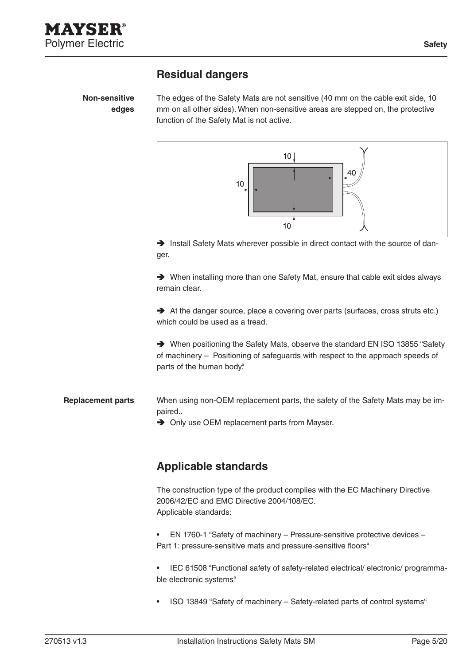### **Residual dangers**

**Non-sensitive edges**

The edges of the Safety Mats are not sensitive (40 mm on the cable exit side, 10 mm on all other sides). When non-sensitive areas are stepped on, the protective function of the Safety Mat is not active.



 $\rightarrow$  Install Safety Mats wherever possible in direct contact with the source of danger.

Ä When installing more than one Safety Mat, ensure that cable exit sides always remain clear.

 $\rightarrow$  At the danger source, place a covering over parts (surfaces, cross struts etc.) which could be used as a tread.

Ä When positioning the Safety Mats, observe the standard EN ISO 13855 "Safety of machinery – Positioning of safeguards with respect to the approach speeds of parts of the human body."

- When using non-OEM replacement parts, the safety of the Safety Mats may be impaired.. **Replacement parts**
	- $\rightarrow$  Only use OEM replacement parts from Mayser.

### **Applicable standards**

The construction type of the product complies with the EC Machinery Directive 2006/42/EC and EMC Directive 2004/108/EC. Applicable standards:

- EN 1760-1 "Safety of machinery Pressure-sensitive protective devices Part 1: pressure-sensitive mats and pressure-sensitive floors"
- • IEC 61508 "Functional safety of safety-related electrical/ electronic/ programmable electronic systems"
- ISO 13849 "Safety of machinery Safety-related parts of control systems"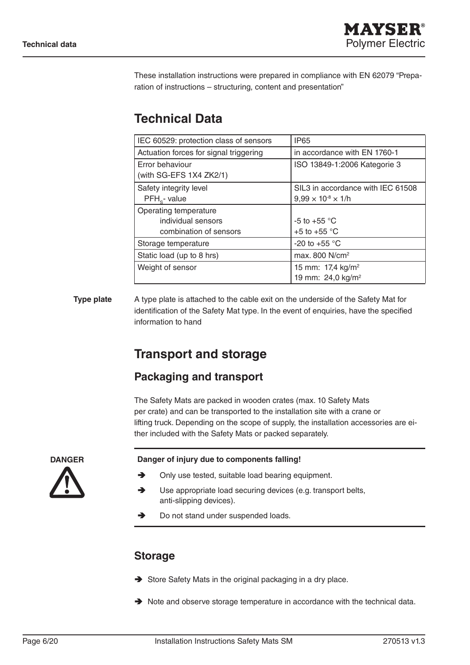These installation instructions were prepared in compliance with EN 62079 "Preparation of instructions – structuring, content and presentation"

# **Technical Data**

| IEC 60529: protection class of sensors | <b>IP65</b>                       |
|----------------------------------------|-----------------------------------|
| Actuation forces for signal triggering | in accordance with EN 1760-1      |
| Error behaviour                        | ISO 13849-1:2006 Kategorie 3      |
| (with SG-EFS 1X4 ZK2/1)                |                                   |
| Safety integrity level                 | SIL3 in accordance with IEC 61508 |
| PFH <sub>c</sub> -value                | $9,99 \times 10^{8} \times 1/h$   |
| Operating temperature                  |                                   |
| individual sensors                     | -5 to +55 $\degree$ C             |
| combination of sensors                 | +5 to +55 $\degree$ C             |
| Storage temperature                    | -20 to +55 $^{\circ}$ C           |
| Static load (up to 8 hrs)              | max. 800 N/cm <sup>2</sup>        |
| Weight of sensor                       | 15 mm: 17,4 kg/m <sup>2</sup>     |
|                                        | 19 mm: 24,0 kg/m <sup>2</sup>     |

#### A type plate is attached to the cable exit on the underside of the Safety Mat for identification of the Safety Mat type. In the event of enquiries, have the specified information to hand **Type plate**

# **Transport and storage**

## **Packaging and transport**

The Safety Mats are packed in wooden crates (max. 10 Safety Mats per crate) and can be transported to the installation site with a crane or lifting truck. Depending on the scope of supply, the installation accessories are either included with the Safety Mats or packed separately.

**DANGER**

#### **Danger of injury due to components falling!**

- $\rightarrow$  Only use tested, suitable load bearing equipment.
- Ä Use appropriate load securing devices (e.g. transport belts, anti-slipping devices).
- $\rightarrow$  Do not stand under suspended loads.

### **Storage**

- $\rightarrow$  Store Safety Mats in the original packaging in a dry place.
- $\rightarrow$  Note and observe storage temperature in accordance with the technical data.

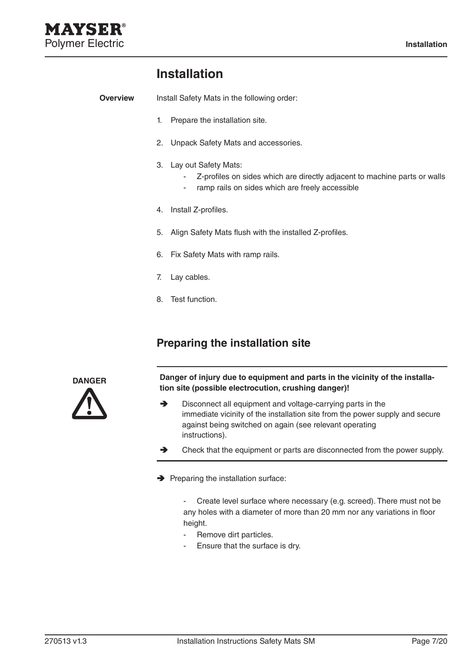# **Installation**

Install Safety Mats in the following order: **Overview**

- 1. Prepare the installation site.
- 2. Unpack Safety Mats and accessories.
- 3. Lay out Safety Mats:
	- Z-profiles on sides which are directly adjacent to machine parts or walls
	- ramp rails on sides which are freely accessible
- 4. Install Z-profiles.
- 5. Align Safety Mats flush with the installed Z-profiles.
- 6. Fix Safety Mats with ramp rails.
- 7. Lay cables.
- 8. Test function.

### **Preparing the installation site**



**Danger of injury due to equipment and parts in the vicinity of the installation site (possible electrocution, crushing danger)!**

- $\rightarrow$  Disconnect all equipment and voltage-carrying parts in the immediate vicinity of the installation site from the power supply and secure against being switched on again (see relevant operating instructions).
- $\rightarrow$  Check that the equipment or parts are disconnected from the power supply.
- $\rightarrow$  Preparing the installation surface:

- Create level surface where necessary (e.g. screed). There must not be any holes with a diameter of more than 20 mm nor any variations in floor height.

- Remove dirt particles.
- Ensure that the surface is dry.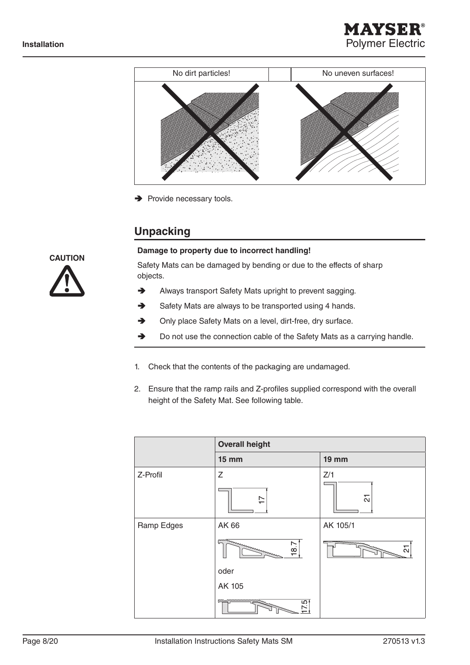



 $\rightarrow$  Provide necessary tools.

### **Unpacking**



#### **Damage to property due to incorrect handling!**

Safety Mats can be damaged by bending or due to the effects of sharp objects.

- $\rightarrow$  Always transport Safety Mats upright to prevent sagging.
- $\rightarrow$  Safety Mats are always to be transported using 4 hands.
- $\rightarrow$  Only place Safety Mats on a level, dirt-free, dry surface.
- $\rightarrow$  Do not use the connection cable of the Safety Mats as a carrying handle.
- 1. Check that the contents of the packaging are undamaged.
- 2. Ensure that the ramp rails and Z-profiles supplied correspond with the overall height of the Safety Mat. See following table.

|            | <b>Overall height</b>                                         |                                            |
|------------|---------------------------------------------------------------|--------------------------------------------|
|            | <b>15 mm</b>                                                  | <b>19 mm</b>                               |
| Z-Profil   | Z<br>$\overline{1}$                                           | Z/1<br>51                                  |
| Ramp Edges | AK 66<br>mannummmmmmm<br>87<br>oder<br>AK 105<br>mmmmmmm<br>ā | AK 105/1<br><b>EAA</b><br>muninininin<br>군 |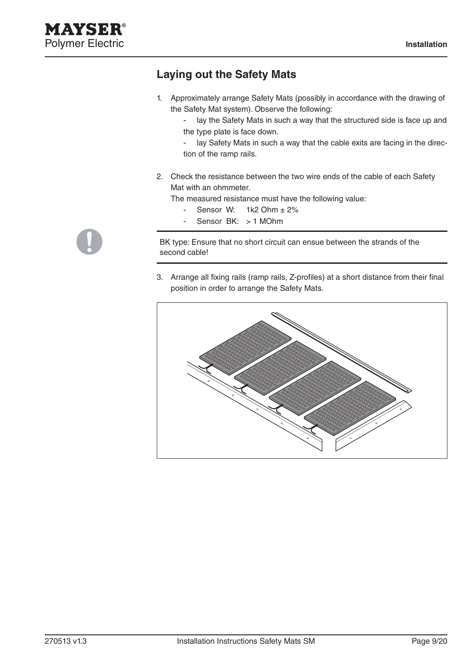### **Laying out the Safety Mats**

1. Approximately arrange Safety Mats (possibly in accordance with the drawing of the Safety Mat system). Observe the following:

- lay the Safety Mats in such a way that the structured side is face up and the type plate is face down.

- lay Safety Mats in such a way that the cable exits are facing in the direction of the ramp rails.

2. Check the resistance between the two wire ends of the cable of each Safety Mat with an ohmmeter.

The measured resistance must have the following value:

- Sensor W:  $1k2$  Ohm  $\pm 2\%$
- Sensor BK: > 1 MOhm

BK type: Ensure that no short circuit can ensue between the strands of the second cable!

3. Arrange all fixing rails (ramp rails, Z-profiles) at a short distance from their final position in order to arrange the Safety Mats.



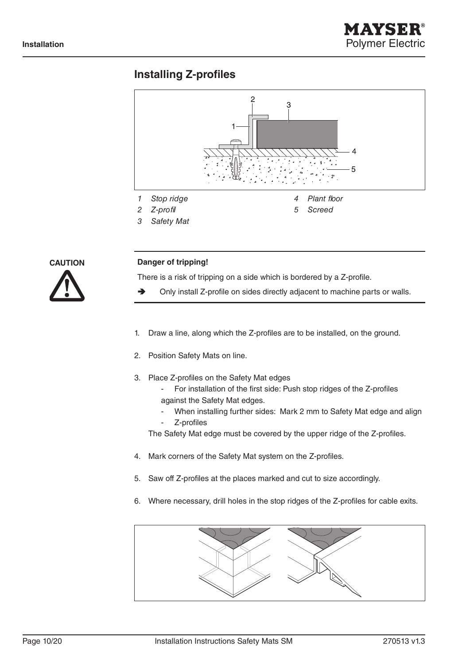### **Installing Z-profiles**





#### **Danger of tripping!**

There is a risk of tripping on a side which is bordered by a Z-profile.

- $\rightarrow$  Only install Z-profile on sides directly adjacent to machine parts or walls.
- 1. Draw a line, along which the Z-profiles are to be installed, on the ground.
- 2. Position Safety Mats on line.
- 3. Place Z-profiles on the Safety Mat edges
	- For installation of the first side: Push stop ridges of the Z-profiles against the Safety Mat edges.
	- When installing further sides: Mark 2 mm to Safety Mat edge and align
	- Z-profiles

The Safety Mat edge must be covered by the upper ridge of the Z-profiles.

- 4. Mark corners of the Safety Mat system on the Z-profiles.
- 5. Saw off Z-profiles at the places marked and cut to size accordingly.
- 6. Where necessary, drill holes in the stop ridges of the Z-profiles for cable exits.

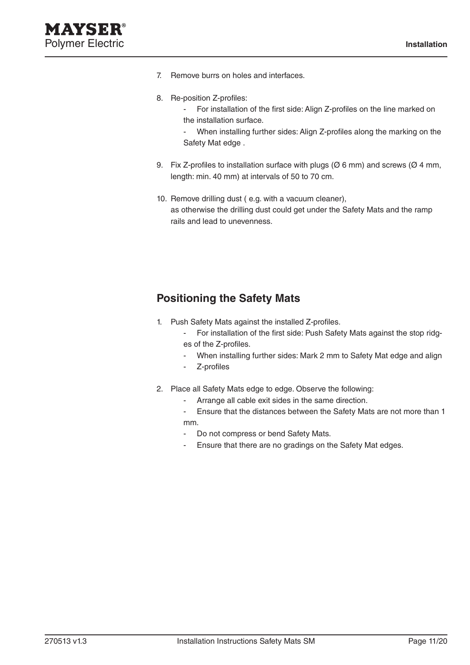- 7. Remove burrs on holes and interfaces.
- 8. Re-position Z-profiles:
	- For installation of the first side: Align Z-profiles on the line marked on the installation surface.
	- When installing further sides: Align Z-profiles along the marking on the Safety Mat edge .
- 9. Fix Z-profiles to installation surface with plugs ( $\varnothing$  6 mm) and screws ( $\varnothing$  4 mm, length: min. 40 mm) at intervals of 50 to 70 cm.
- 10. Remove drilling dust ( e.g. with a vacuum cleaner), as otherwise the drilling dust could get under the Safety Mats and the ramp rails and lead to unevenness.

## **Positioning the Safety Mats**

- 1. Push Safety Mats against the installed Z-profiles.
	- For installation of the first side: Push Safety Mats against the stop ridges of the Z-profiles.
	- When installing further sides: Mark 2 mm to Safety Mat edge and align
	- Z-profiles
- 2. Place all Safety Mats edge to edge. Observe the following:
	- Arrange all cable exit sides in the same direction.
	- Ensure that the distances between the Safety Mats are not more than 1 mm.
	- Do not compress or bend Safety Mats.
	- Ensure that there are no gradings on the Safety Mat edges.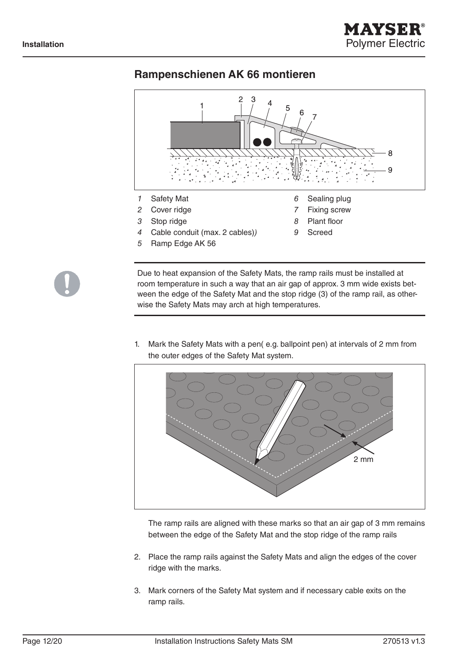

### **Rampenschienen AK 66 montieren**



Due to heat expansion of the Safety Mats, the ramp rails must be installed at room temperature in such a way that an air gap of approx. 3 mm wide exists between the edge of the Safety Mat and the stop ridge (3) of the ramp rail, as otherwise the Safety Mats may arch at high temperatures.

1. Mark the Safety Mats with a pen( e.g. ballpoint pen) at intervals of 2 mm from the outer edges of the Safety Mat system.



The ramp rails are aligned with these marks so that an air gap of 3 mm remains between the edge of the Safety Mat and the stop ridge of the ramp rails

- 2. Place the ramp rails against the Safety Mats and align the edges of the cover ridge with the marks.
- 3. Mark corners of the Safety Mat system and if necessary cable exits on the ramp rails.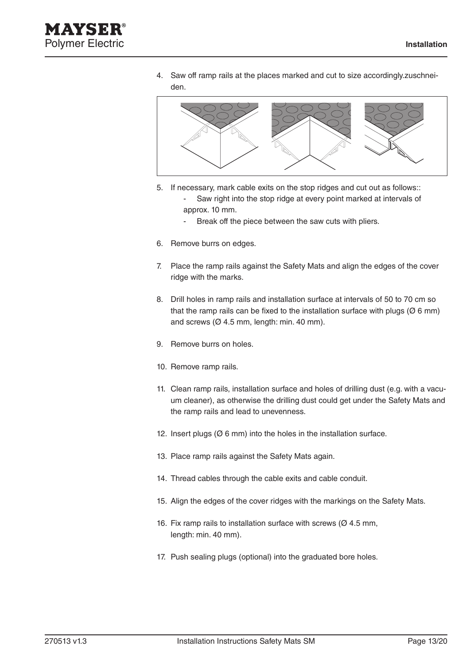

4. Saw off ramp rails at the places marked and cut to size accordingly.zuschneiden.



5. If necessary, mark cable exits on the stop ridges and cut out as follows::

Saw right into the stop ridge at every point marked at intervals of approx. 10 mm.

- Break off the piece between the saw cuts with pliers.
- 6. Remove burrs on edges.
- 7. Place the ramp rails against the Safety Mats and align the edges of the cover ridge with the marks.
- 8. Drill holes in ramp rails and installation surface at intervals of 50 to 70 cm so that the ramp rails can be fixed to the installation surface with plugs ( $\varnothing$  6 mm) and screws ( $\varnothing$  4.5 mm, length: min. 40 mm).
- 9. Remove burrs on holes.
- 10. Remove ramp rails.
- 11. Clean ramp rails, installation surface and holes of drilling dust (e.g. with a vacuum cleaner), as otherwise the drilling dust could get under the Safety Mats and the ramp rails and lead to unevenness.
- 12. Insert plugs (Ø 6 mm) into the holes in the installation surface.
- 13. Place ramp rails against the Safety Mats again.
- 14. Thread cables through the cable exits and cable conduit.
- 15. Align the edges of the cover ridges with the markings on the Safety Mats.
- 16. Fix ramp rails to installation surface with screws ( $\varnothing$  4.5 mm, length: min. 40 mm).
- 17. Push sealing plugs (optional) into the graduated bore holes.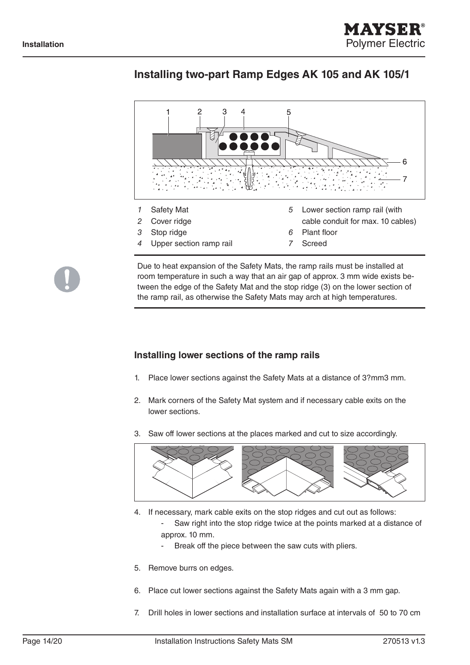

### **Installing two-part Ramp Edges AK 105 and AK 105/1**



Due to heat expansion of the Safety Mats, the ramp rails must be installed at room temperature in such a way that an air gap of approx. 3 mm wide exists between the edge of the Safety Mat and the stop ridge (3) on the lower section of the ramp rail, as otherwise the Safety Mats may arch at high temperatures.

#### **Installing lower sections of the ramp rails**

- 1. Place lower sections against the Safety Mats at a distance of 3?mm3 mm.
- 2. Mark corners of the Safety Mat system and if necessary cable exits on the lower sections.
- 3. Saw off lower sections at the places marked and cut to size accordingly.



- 4. If necessary, mark cable exits on the stop ridges and cut out as follows:
	- Saw right into the stop ridge twice at the points marked at a distance of approx. 10 mm.
		- Break off the piece between the saw cuts with pliers.
- 5. Remove burrs on edges.
- 6. Place cut lower sections against the Safety Mats again with a 3 mm gap.
- 7. Drill holes in lower sections and installation surface at intervals of 50 to 70 cm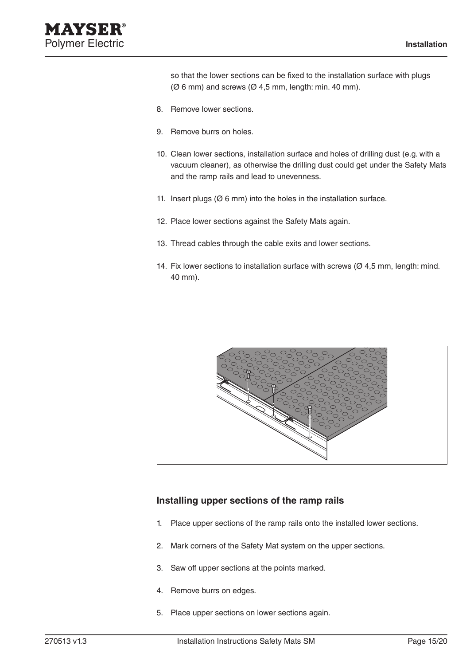so that the lower sections can be fixed to the installation surface with plugs  $(Ø 6 mm)$  and screws  $(Ø 4.5 mm)$ , length: min. 40 mm).

- 8. Remove lower sections.
- 9. Remove burrs on holes.
- 10. Clean lower sections, installation surface and holes of drilling dust (e.g. with a vacuum cleaner), as otherwise the drilling dust could get under the Safety Mats and the ramp rails and lead to unevenness.
- 11. Insert plugs  $(Ø 6 mm)$  into the holes in the installation surface.
- 12. Place lower sections against the Safety Mats again.
- 13. Thread cables through the cable exits and lower sections.
- 14. Fix lower sections to installation surface with screws  $(Ø 4.5$  mm, length: mind. 40 mm).



#### **Installing upper sections of the ramp rails**

- 1. Place upper sections of the ramp rails onto the installed lower sections.
- 2. Mark corners of the Safety Mat system on the upper sections.
- 3. Saw off upper sections at the points marked.
- 4. Remove burrs on edges.
- 5. Place upper sections on lower sections again.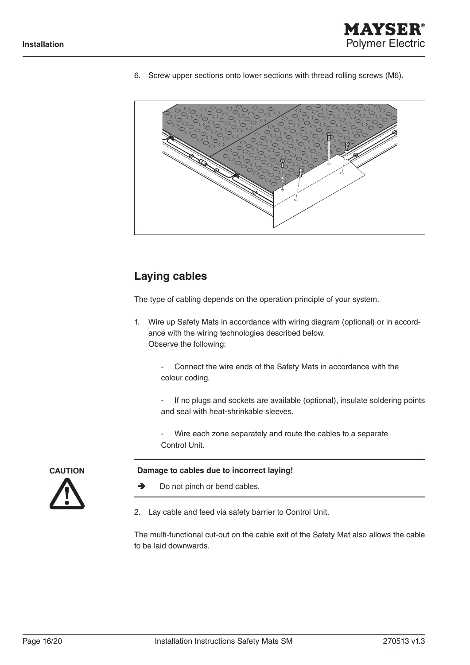

6. Screw upper sections onto lower sections with thread rolling screws (M6).



### **Laying cables**

The type of cabling depends on the operation principle of your system.

- 1. Wire up Safety Mats in accordance with wiring diagram (optional) or in accordance with the wiring technologies described below. Observe the following:
	- Connect the wire ends of the Safety Mats in accordance with the colour coding.

- If no plugs and sockets are available (optional), insulate soldering points and seal with heat-shrinkable sleeves.

Wire each zone separately and route the cables to a separate Control Unit.

#### **Damage to cables due to incorrect laying!**



- $\rightarrow$  Do not pinch or bend cables.
- 2. Lay cable and feed via safety barrier to Control Unit.

The multi-functional cut-out on the cable exit of the Safety Mat also allows the cable to be laid downwards.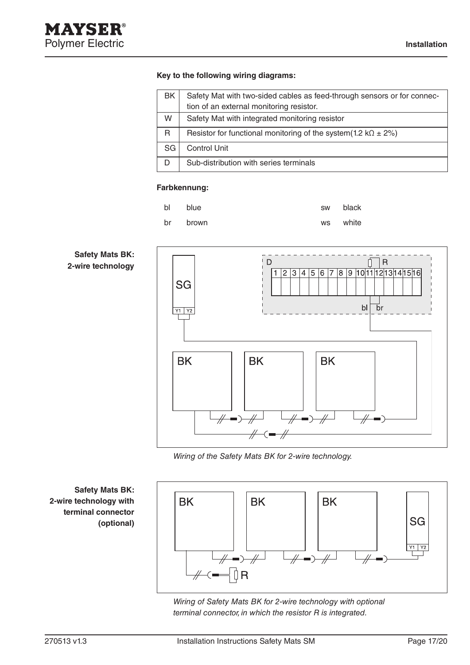#### **Key to the following wiring diagrams:**

| BK.       | Safety Mat with two-sided cables as feed-through sensors or for connec- |
|-----------|-------------------------------------------------------------------------|
|           | tion of an external monitoring resistor.                                |
| W         | Safety Mat with integrated monitoring resistor                          |
| R         | Resistor for functional monitoring of the system(1.2 k $\Omega$ ± 2%)   |
| <b>SG</b> | <b>Control Unit</b>                                                     |
| D         | Sub-distribution with series terminals                                  |

#### **Farbkennung:**



#### **Safety Mats BK: 2-wire technology**



*Wiring of the Safety Mats BK for 2-wire technology.*



*Wiring of Safety Mats BK for 2-wire technology with optional terminal connector, in which the resistor R is integrated.*

**Safety Mats BK: 2-wire technology with terminal connector (optional)**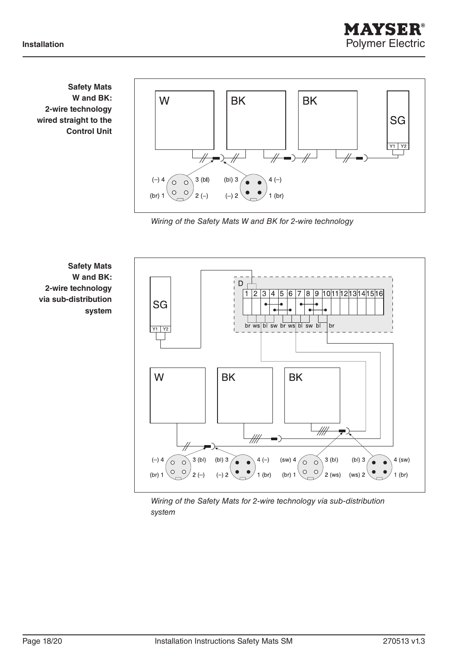**Safety Mats W and BK: 2-wire technology wired straight to the Control Unit**



*Wiring of the Safety Mats W and BK for 2-wire technology*



*Wiring of the Safety Mats for 2-wire technology via sub-distribution system*

AYSERI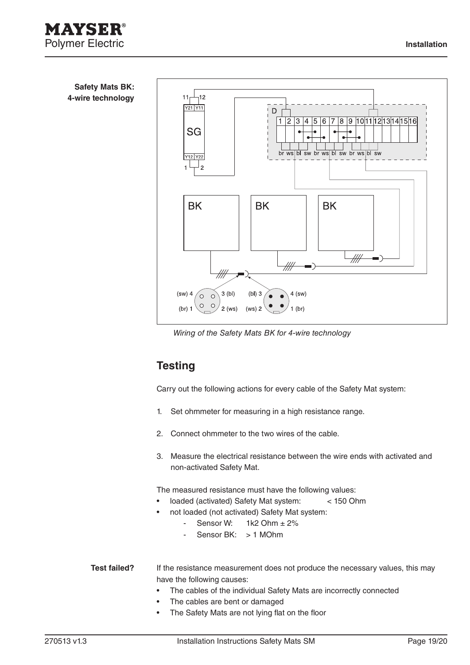



# **Testing**

Carry out the following actions for every cable of the Safety Mat system:

- 1. Set ohmmeter for measuring in a high resistance range.
- 2. Connect ohmmeter to the two wires of the cable.
- 3. Measure the electrical resistance between the wire ends with activated and non-activated Safety Mat.

The measured resistance must have the following values:

- loaded (activated) Safety Mat system: < 150 Ohm
	- not loaded (not activated) Safety Mat system:
		- Sensor W:  $1k2$  Ohm  $\pm 2\%$ 
			- Sensor BK: > 1 MOhm

If the resistance measurement does not produce the necessary values, this may have the following causes: **Test failed?**

- The cables of the individual Safety Mats are incorrectly connected
- • The cables are bent or damaged
- • The Safety Mats are not lying flat on the floor